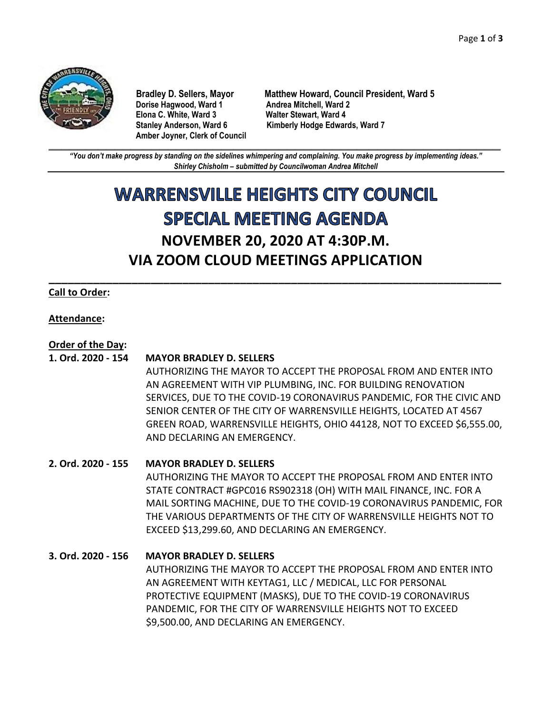

**Dorise Hagwood, Ward 1 Elona C. White, Ward 3 Walter Stewart, Ward 4 Amber Joyner, Clerk of Council**

**Bradley D. Sellers, Mayor Matthew Howard, Council President, Ward 5 Stanley Anderson, Ward 6 Kimberly Hodge Edwards, Ward 7**

**\_\_\_\_\_\_\_\_\_\_\_\_\_\_\_\_\_\_\_\_\_\_\_\_\_\_\_\_\_\_\_\_\_\_\_\_\_\_\_\_\_\_\_\_\_\_\_\_\_\_\_\_\_\_\_\_\_\_\_\_\_\_\_\_\_\_\_\_\_\_\_\_\_\_\_\_\_\_\_\_\_\_\_\_\_\_\_\_\_\_\_\_\_\_\_\_\_\_\_\_\_\_\_\_\_\_\_\_\_\_** *"You don't make progress by standing on the sidelines whimpering and complaining. You make progress by implementing ideas." Shirley Chisholm – submitted by Councilwoman Andrea Mitchell*

# **WARRENSVILLE HEIGHTS CITY COUNCIL SPECIAL MEETING AGENDA NOVEMBER 20, 2020 AT 4:30P.M. VIA ZOOM CLOUD MEETINGS APPLICATION**

**\_\_\_\_\_\_\_\_\_\_\_\_\_\_\_\_\_\_\_\_\_\_\_\_\_\_\_\_\_\_\_\_\_\_\_\_\_\_\_\_\_\_\_\_\_\_\_\_\_\_\_\_\_\_\_\_\_\_\_\_\_\_\_\_\_\_\_\_\_\_\_**

# **Call to Order:**

# **Attendance:**

# **Order of the Day:**

#### **1. Ord. 2020 - 154 MAYOR BRADLEY D. SELLERS**

AUTHORIZING THE MAYOR TO ACCEPT THE PROPOSAL FROM AND ENTER INTO AN AGREEMENT WITH VIP PLUMBING, INC. FOR BUILDING RENOVATION SERVICES, DUE TO THE COVID-19 CORONAVIRUS PANDEMIC, FOR THE CIVIC AND SENIOR CENTER OF THE CITY OF WARRENSVILLE HEIGHTS, LOCATED AT 4567 GREEN ROAD, WARRENSVILLE HEIGHTS, OHIO 44128, NOT TO EXCEED \$6,555.00, AND DECLARING AN EMERGENCY.

# **2. Ord. 2020 - 155 MAYOR BRADLEY D. SELLERS**

AUTHORIZING THE MAYOR TO ACCEPT THE PROPOSAL FROM AND ENTER INTO STATE CONTRACT #GPC016 RS902318 (OH) WITH MAIL FINANCE, INC. FOR A MAIL SORTING MACHINE, DUE TO THE COVID-19 CORONAVIRUS PANDEMIC, FOR THE VARIOUS DEPARTMENTS OF THE CITY OF WARRENSVILLE HEIGHTS NOT TO EXCEED \$13,299.60, AND DECLARING AN EMERGENCY.

# **3. Ord. 2020 - 156 MAYOR BRADLEY D. SELLERS**

AUTHORIZING THE MAYOR TO ACCEPT THE PROPOSAL FROM AND ENTER INTO AN AGREEMENT WITH KEYTAG1, LLC / MEDICAL, LLC FOR PERSONAL PROTECTIVE EQUIPMENT (MASKS), DUE TO THE COVID-19 CORONAVIRUS PANDEMIC, FOR THE CITY OF WARRENSVILLE HEIGHTS NOT TO EXCEED \$9,500.00, AND DECLARING AN EMERGENCY.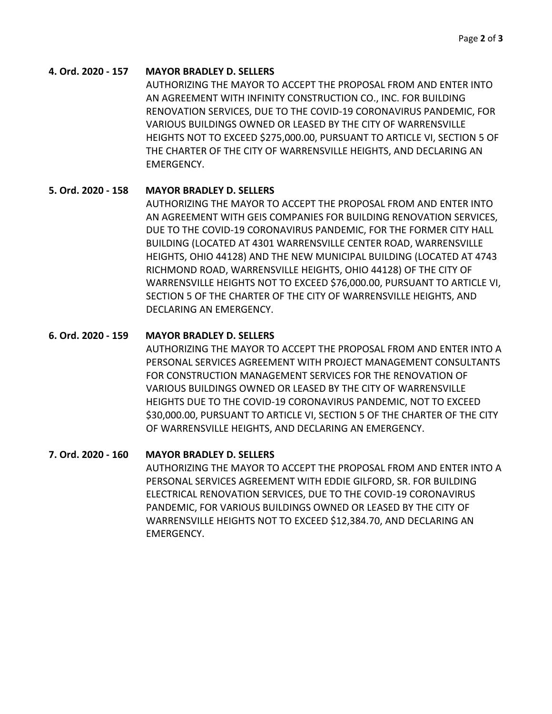## **4. Ord. 2020 - 157 MAYOR BRADLEY D. SELLERS**

AUTHORIZING THE MAYOR TO ACCEPT THE PROPOSAL FROM AND ENTER INTO AN AGREEMENT WITH INFINITY CONSTRUCTION CO., INC. FOR BUILDING RENOVATION SERVICES, DUE TO THE COVID-19 CORONAVIRUS PANDEMIC, FOR VARIOUS BUILDINGS OWNED OR LEASED BY THE CITY OF WARRENSVILLE HEIGHTS NOT TO EXCEED \$275,000.00, PURSUANT TO ARTICLE VI, SECTION 5 OF THE CHARTER OF THE CITY OF WARRENSVILLE HEIGHTS, AND DECLARING AN EMERGENCY.

# **5. Ord. 2020 - 158 MAYOR BRADLEY D. SELLERS**

AUTHORIZING THE MAYOR TO ACCEPT THE PROPOSAL FROM AND ENTER INTO AN AGREEMENT WITH GEIS COMPANIES FOR BUILDING RENOVATION SERVICES, DUE TO THE COVID-19 CORONAVIRUS PANDEMIC, FOR THE FORMER CITY HALL BUILDING (LOCATED AT 4301 WARRENSVILLE CENTER ROAD, WARRENSVILLE HEIGHTS, OHIO 44128) AND THE NEW MUNICIPAL BUILDING (LOCATED AT 4743 RICHMOND ROAD, WARRENSVILLE HEIGHTS, OHIO 44128) OF THE CITY OF WARRENSVILLE HEIGHTS NOT TO EXCEED \$76,000.00, PURSUANT TO ARTICLE VI, SECTION 5 OF THE CHARTER OF THE CITY OF WARRENSVILLE HEIGHTS, AND DECLARING AN EMERGENCY.

# **6. Ord. 2020 - 159 MAYOR BRADLEY D. SELLERS**

AUTHORIZING THE MAYOR TO ACCEPT THE PROPOSAL FROM AND ENTER INTO A PERSONAL SERVICES AGREEMENT WITH PROJECT MANAGEMENT CONSULTANTS FOR CONSTRUCTION MANAGEMENT SERVICES FOR THE RENOVATION OF VARIOUS BUILDINGS OWNED OR LEASED BY THE CITY OF WARRENSVILLE HEIGHTS DUE TO THE COVID-19 CORONAVIRUS PANDEMIC, NOT TO EXCEED \$30,000.00, PURSUANT TO ARTICLE VI, SECTION 5 OF THE CHARTER OF THE CITY OF WARRENSVILLE HEIGHTS, AND DECLARING AN EMERGENCY.

# **7. Ord. 2020 - 160 MAYOR BRADLEY D. SELLERS**

AUTHORIZING THE MAYOR TO ACCEPT THE PROPOSAL FROM AND ENTER INTO A PERSONAL SERVICES AGREEMENT WITH EDDIE GILFORD, SR. FOR BUILDING ELECTRICAL RENOVATION SERVICES, DUE TO THE COVID-19 CORONAVIRUS PANDEMIC, FOR VARIOUS BUILDINGS OWNED OR LEASED BY THE CITY OF WARRENSVILLE HEIGHTS NOT TO EXCEED \$12,384.70, AND DECLARING AN EMERGENCY.